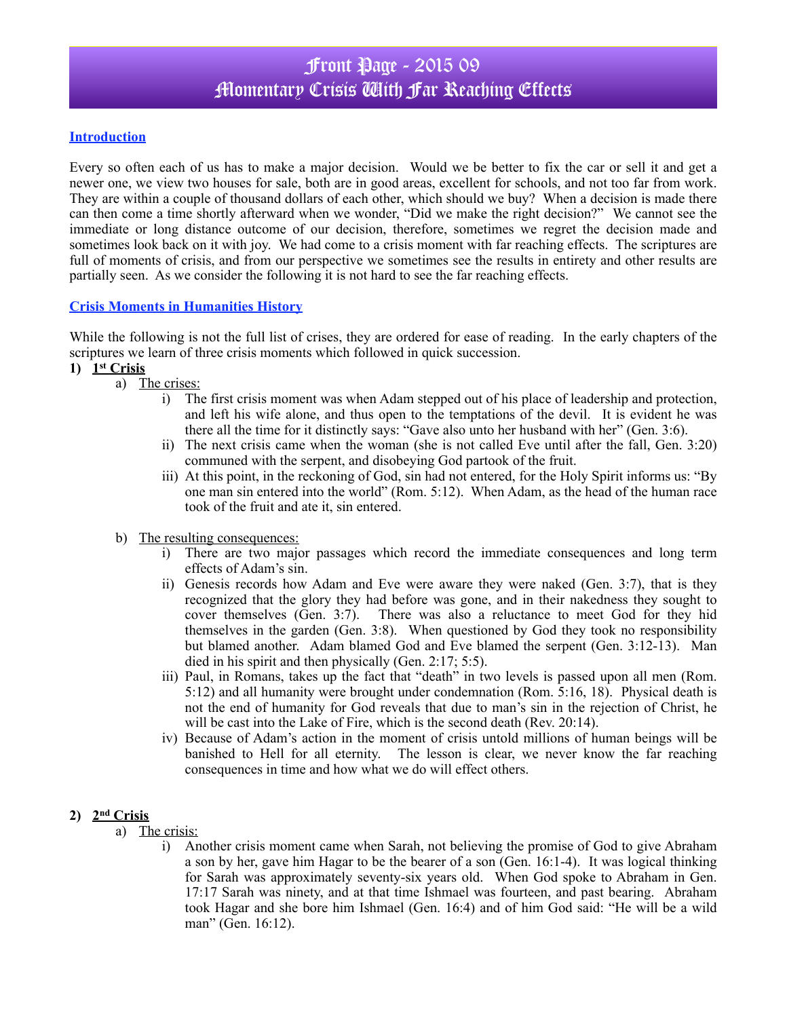# Front Page - 2015 09 Momentary Crisis With Far Reaching Effects

#### **Introduction**

Every so often each of us has to make a major decision. Would we be better to fix the car or sell it and get a newer one, we view two houses for sale, both are in good areas, excellent for schools, and not too far from work. They are within a couple of thousand dollars of each other, which should we buy? When a decision is made there can then come a time shortly afterward when we wonder, "Did we make the right decision?" We cannot see the immediate or long distance outcome of our decision, therefore, sometimes we regret the decision made and sometimes look back on it with joy. We had come to a crisis moment with far reaching effects. The scriptures are full of moments of crisis, and from our perspective we sometimes see the results in entirety and other results are partially seen. As we consider the following it is not hard to see the far reaching effects.

#### **Crisis Moments in Humanities History**

While the following is not the full list of crises, they are ordered for ease of reading. In the early chapters of the scriptures we learn of three crisis moments which followed in quick succession.

#### **1) 1st Crisis**

- a) The crises:
	- i) The first crisis moment was when Adam stepped out of his place of leadership and protection, and left his wife alone, and thus open to the temptations of the devil. It is evident he was there all the time for it distinctly says: "Gave also unto her husband with her" (Gen. 3:6).
	- ii) The next crisis came when the woman (she is not called Eve until after the fall, Gen. 3:20) communed with the serpent, and disobeying God partook of the fruit.
	- iii) At this point, in the reckoning of God, sin had not entered, for the Holy Spirit informs us: "By one man sin entered into the world" (Rom. 5:12). When Adam, as the head of the human race took of the fruit and ate it, sin entered.
- b) The resulting consequences:
	- i) There are two major passages which record the immediate consequences and long term effects of Adam's sin.
	- ii) Genesis records how Adam and Eve were aware they were naked (Gen. 3:7), that is they recognized that the glory they had before was gone, and in their nakedness they sought to cover themselves (Gen. 3:7). There was also a reluctance to meet God for they hid themselves in the garden (Gen. 3:8). When questioned by God they took no responsibility but blamed another. Adam blamed God and Eve blamed the serpent (Gen. 3:12-13). Man died in his spirit and then physically (Gen. 2:17; 5:5).
	- iii) Paul, in Romans, takes up the fact that "death" in two levels is passed upon all men (Rom. 5:12) and all humanity were brought under condemnation (Rom. 5:16, 18). Physical death is not the end of humanity for God reveals that due to man's sin in the rejection of Christ, he will be cast into the Lake of Fire, which is the second death (Rev. 20:14).
	- iv) Because of Adam's action in the moment of crisis untold millions of human beings will be banished to Hell for all eternity. The lesson is clear, we never know the far reaching consequences in time and how what we do will effect others.

## **2) 2nd Crisis**

- a) The crisis:
	- i) Another crisis moment came when Sarah, not believing the promise of God to give Abraham a son by her, gave him Hagar to be the bearer of a son (Gen. 16:1-4). It was logical thinking for Sarah was approximately seventy-six years old. When God spoke to Abraham in Gen. 17:17 Sarah was ninety, and at that time Ishmael was fourteen, and past bearing. Abraham took Hagar and she bore him Ishmael (Gen. 16:4) and of him God said: "He will be a wild man" (Gen. 16:12).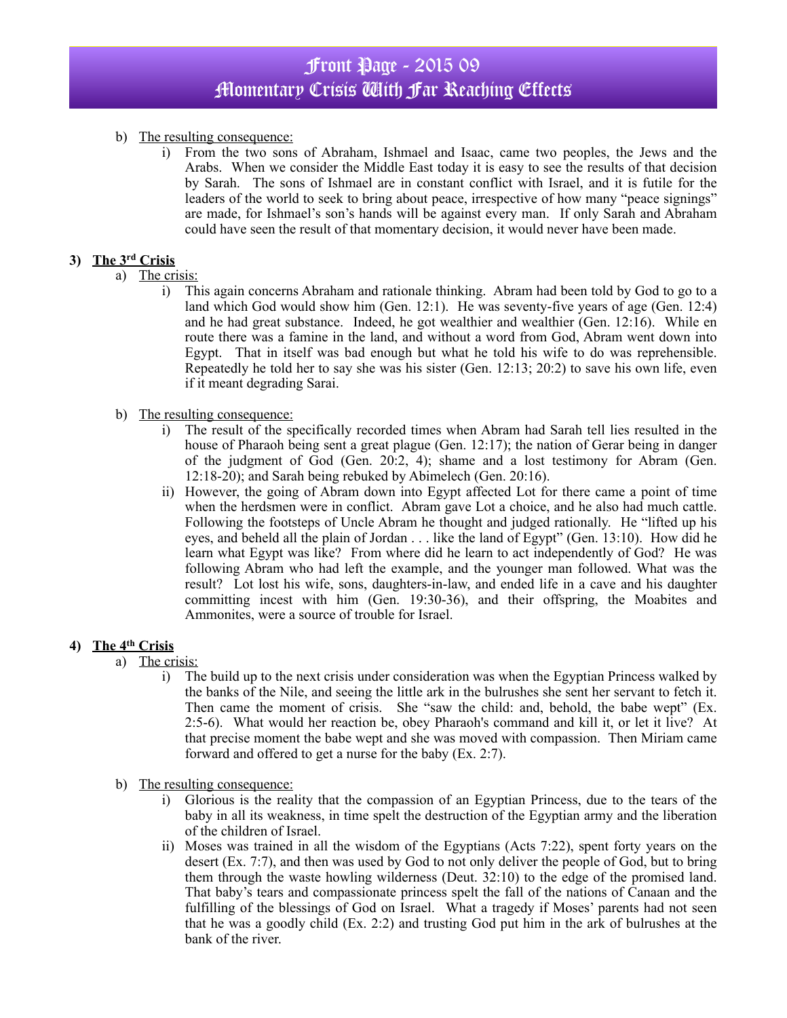# Front Page - 2015 09 Momentary Crisis With Far Reaching Effects

### b) The resulting consequence:

i) From the two sons of Abraham, Ishmael and Isaac, came two peoples, the Jews and the Arabs. When we consider the Middle East today it is easy to see the results of that decision by Sarah. The sons of Ishmael are in constant conflict with Israel, and it is futile for the leaders of the world to seek to bring about peace, irrespective of how many "peace signings" are made, for Ishmael's son's hands will be against every man. If only Sarah and Abraham could have seen the result of that momentary decision, it would never have been made.

### **3) The 3rd Crisis**

- a) The crisis:
	- i) This again concerns Abraham and rationale thinking. Abram had been told by God to go to a land which God would show him (Gen. 12:1). He was seventy-five years of age (Gen. 12:4) and he had great substance. Indeed, he got wealthier and wealthier (Gen. 12:16). While en route there was a famine in the land, and without a word from God, Abram went down into Egypt. That in itself was bad enough but what he told his wife to do was reprehensible. Repeatedly he told her to say she was his sister (Gen. 12:13; 20:2) to save his own life, even if it meant degrading Sarai.
- b) The resulting consequence:
	- i) The result of the specifically recorded times when Abram had Sarah tell lies resulted in the house of Pharaoh being sent a great plague (Gen. 12:17); the nation of Gerar being in danger of the judgment of God (Gen. 20:2, 4); shame and a lost testimony for Abram (Gen. 12:18-20); and Sarah being rebuked by Abimelech (Gen. 20:16).
	- ii) However, the going of Abram down into Egypt affected Lot for there came a point of time when the herdsmen were in conflict. Abram gave Lot a choice, and he also had much cattle. Following the footsteps of Uncle Abram he thought and judged rationally. He "lifted up his eyes, and beheld all the plain of Jordan . . . like the land of Egypt" (Gen. 13:10). How did he learn what Egypt was like? From where did he learn to act independently of God? He was following Abram who had left the example, and the younger man followed. What was the result? Lot lost his wife, sons, daughters-in-law, and ended life in a cave and his daughter committing incest with him (Gen. 19:30-36), and their offspring, the Moabites and Ammonites, were a source of trouble for Israel.

### **4) The 4th Crisis**

- a) The crisis:
	- i) The build up to the next crisis under consideration was when the Egyptian Princess walked by the banks of the Nile, and seeing the little ark in the bulrushes she sent her servant to fetch it. Then came the moment of crisis. She "saw the child: and, behold, the babe wept" (Ex. 2:5-6). What would her reaction be, obey Pharaoh's command and kill it, or let it live? At that precise moment the babe wept and she was moved with compassion. Then Miriam came forward and offered to get a nurse for the baby (Ex. 2:7).
- b) The resulting consequence:
	- i) Glorious is the reality that the compassion of an Egyptian Princess, due to the tears of the baby in all its weakness, in time spelt the destruction of the Egyptian army and the liberation of the children of Israel.
	- ii) Moses was trained in all the wisdom of the Egyptians (Acts 7:22), spent forty years on the desert (Ex. 7:7), and then was used by God to not only deliver the people of God, but to bring them through the waste howling wilderness (Deut. 32:10) to the edge of the promised land. That baby's tears and compassionate princess spelt the fall of the nations of Canaan and the fulfilling of the blessings of God on Israel. What a tragedy if Moses' parents had not seen that he was a goodly child (Ex. 2:2) and trusting God put him in the ark of bulrushes at the bank of the river.